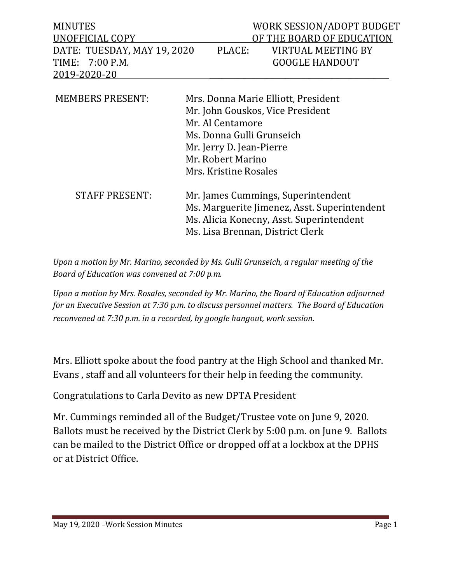| <b>MINUTES</b><br>UNOFFICIAL COPY<br>DATE: TUESDAY, MAY 19, 2020<br>$7:00$ P.M.<br>TIME:<br>2019-2020-20 | PLACE:                                                                                                                                                                                             | WORK SESSION/ADOPT BUDGET<br>OF THE BOARD OF EDUCATION<br><b>VIRTUAL MEETING BY</b><br><b>GOOGLE HANDOUT</b> |
|----------------------------------------------------------------------------------------------------------|----------------------------------------------------------------------------------------------------------------------------------------------------------------------------------------------------|--------------------------------------------------------------------------------------------------------------|
| <b>MEMBERS PRESENT:</b>                                                                                  | Mrs. Donna Marie Elliott, President<br>Mr. John Gouskos, Vice President<br>Mr. Al Centamore<br>Ms. Donna Gulli Grunseich<br>Mr. Jerry D. Jean-Pierre<br>Mr. Robert Marino<br>Mrs. Kristine Rosales |                                                                                                              |
| <b>STAFF PRESENT:</b>                                                                                    | Mr. James Cummings, Superintendent<br>Ms. Marguerite Jimenez, Asst. Superintendent<br>Ms. Alicia Konecny, Asst. Superintendent<br>Ms. Lisa Brennan, District Clerk                                 |                                                                                                              |

*Upon a motion by Mr. Marino, seconded by Ms. Gulli Grunseich, a regular meeting of the Board of Education was convened at 7:00 p.m.*

*Upon a motion by Mrs. Rosales, seconded by Mr. Marino, the Board of Education adjourned for an Executive Session at 7:30 p.m. to discuss personnel matters. The Board of Education reconvened at 7:30 p.m. in a recorded, by google hangout, work session.* 

Mrs. Elliott spoke about the food pantry at the High School and thanked Mr. Evans , staff and all volunteers for their help in feeding the community.

Congratulations to Carla Devito as new DPTA President

Mr. Cummings reminded all of the Budget/Trustee vote on June 9, 2020. Ballots must be received by the District Clerk by 5:00 p.m. on June 9. Ballots can be mailed to the District Office or dropped off at a lockbox at the DPHS or at District Office.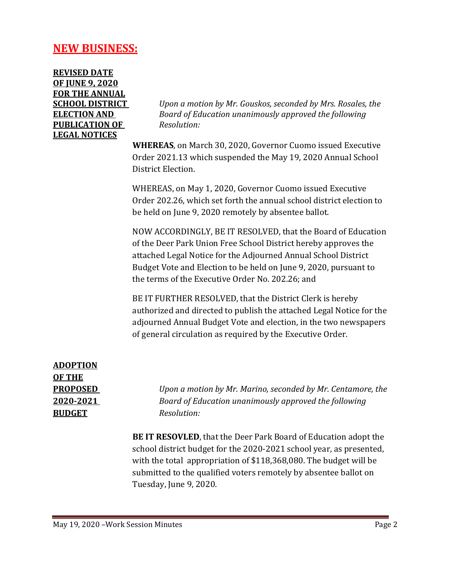## **NEW BUSINESS:**

**REVISED DATE OF JUNE 9, 2020 FOR THE ANNUAL PUBLICATION OF** *Resolution:* **LEGAL NOTICES**

**SCHOOL DISTRICT** *Upon a motion by Mr. Gouskos, seconded by Mrs. Rosales, the*  **ELECTION AND** *Board of Education unanimously approved the following* 

> **WHEREAS**, on March 30, 2020, Governor Cuomo issued Executive Order 2021.13 which suspended the May 19, 2020 Annual School District Election.

> WHEREAS, on May 1, 2020, Governor Cuomo issued Executive Order 202.26, which set forth the annual school district election to be held on June 9, 2020 remotely by absentee ballot.

NOW ACCORDINGLY, BE IT RESOLVED, that the Board of Education of the Deer Park Union Free School District hereby approves the attached Legal Notice for the Adjourned Annual School District Budget Vote and Election to be held on June 9, 2020, pursuant to the terms of the Executive Order No. 202.26; and

BE IT FURTHER RESOLVED, that the District Clerk is hereby authorized and directed to publish the attached Legal Notice for the adjourned Annual Budget Vote and election, in the two newspapers of general circulation as required by the Executive Order.

**ADOPTION OF THE BUDGET** *Resolution:*

**PROPOSED** *Upon a motion by Mr. Marino, seconded by Mr. Centamore, the* **2020-2021** *Board of Education unanimously approved the following*

> **BE IT RESOVLED**, that the Deer Park Board of Education adopt the school district budget for the 2020-2021 school year, as presented, with the total appropriation of \$118,368,080. The budget will be submitted to the qualified voters remotely by absentee ballot on Tuesday, June 9, 2020.